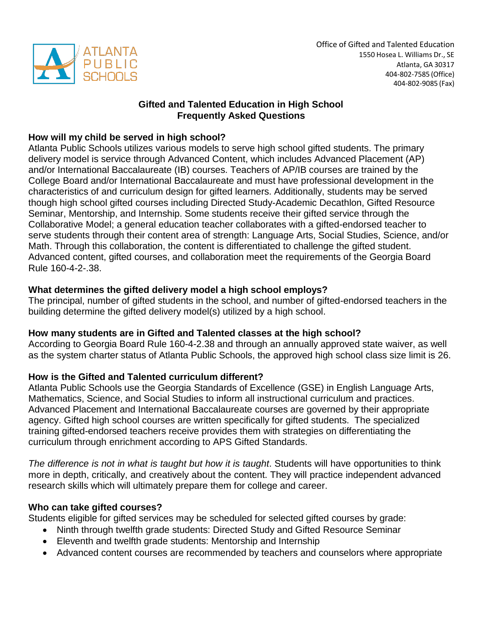

# **Gifted and Talented Education in High School Frequently Asked Questions**

# **How will my child be served in high school?**

Atlanta Public Schools utilizes various models to serve high school gifted students. The primary delivery model is service through Advanced Content, which includes Advanced Placement (AP) and/or International Baccalaureate (IB) courses. Teachers of AP/IB courses are trained by the College Board and/or International Baccalaureate and must have professional development in the characteristics of and curriculum design for gifted learners. Additionally, students may be served though high school gifted courses including Directed Study-Academic Decathlon, Gifted Resource Seminar, Mentorship, and Internship. Some students receive their gifted service through the Collaborative Model; a general education teacher collaborates with a gifted-endorsed teacher to serve students through their content area of strength: Language Arts, Social Studies, Science, and/or Math. Through this collaboration, the content is differentiated to challenge the gifted student. Advanced content, gifted courses, and collaboration meet the requirements of the Georgia Board Rule 160-4-2-.38.

# **What determines the gifted delivery model a high school employs?**

The principal, number of gifted students in the school, and number of gifted-endorsed teachers in the building determine the gifted delivery model(s) utilized by a high school.

# **How many students are in Gifted and Talented classes at the high school?**

According to Georgia Board Rule 160-4-2.38 and through an annually approved state waiver, as well as the system charter status of Atlanta Public Schools, the approved high school class size limit is 26.

# **How is the Gifted and Talented curriculum different?**

Atlanta Public Schools use the Georgia Standards of Excellence (GSE) in English Language Arts, Mathematics, Science, and Social Studies to inform all instructional curriculum and practices. Advanced Placement and International Baccalaureate courses are governed by their appropriate agency. Gifted high school courses are written specifically for gifted students. The specialized training gifted-endorsed teachers receive provides them with strategies on differentiating the curriculum through enrichment according to APS Gifted Standards.

*The difference is not in what is taught but how it is taught*. Students will have opportunities to think more in depth, critically, and creatively about the content. They will practice independent advanced research skills which will ultimately prepare them for college and career.

# **Who can take gifted courses?**

Students eligible for gifted services may be scheduled for selected gifted courses by grade:

- Ninth through twelfth grade students: Directed Study and Gifted Resource Seminar
- Eleventh and twelfth grade students: Mentorship and Internship
- Advanced content courses are recommended by teachers and counselors where appropriate